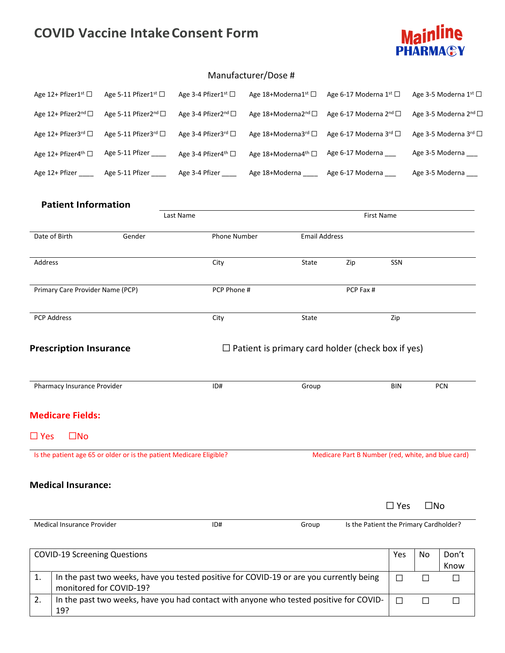## **COVID Vaccine IntakeConsent Form**



## Manufacturer/Dose #

|                                                                                                                           | Age 12+ Pfizer1 <sup>st</sup>                                | Age 5-11 Pfizer1 <sup>st</sup> □                                   | Age 3-4 Pfizer1 <sup>st</sup> □ | Age 18+Moderna1 <sup>st</sup>                                                           | Age 6-17 Moderna 1 <sup>st</sup> □     |               | Age 3-5 Moderna 1 <sup>st</sup>   |                       |
|---------------------------------------------------------------------------------------------------------------------------|--------------------------------------------------------------|--------------------------------------------------------------------|---------------------------------|-----------------------------------------------------------------------------------------|----------------------------------------|---------------|-----------------------------------|-----------------------|
|                                                                                                                           | Age 12+ Pfizer2 <sup>nd</sup> □                              | Age 5-11 Pfizer2 <sup>nd</sup> □                                   | Age 3-4 Pfizer2 <sup>nd</sup> □ | Age 18+Moderna2 <sup>nd</sup>                                                           | Age 6-17 Moderna 2 <sup>nd</sup> □     |               | Age 3-5 Moderna 2 <sup>nd</sup> □ |                       |
|                                                                                                                           | Age 12+ Pfizer3rd □                                          | Age 5-11 Pfizer3rd □                                               | Age 3-4 Pfizer3 <sup>rd</sup> □ | Age 18+Moderna3rd □                                                                     | Age 6-17 Moderna 3rd □                 |               |                                   | Age 3-5 Moderna 3rd □ |
|                                                                                                                           | Age 12+ Pfizer4 <sup>th</sup> □                              | Age 5-11 Pfizer _____                                              | Age 3-4 Pfizer4 <sup>th</sup> □ | Age 18+Moderna4 <sup>th</sup> □                                                         | Age 6-17 Moderna ___                   |               |                                   | Age 3-5 Moderna ___   |
|                                                                                                                           |                                                              | Age 12+ Pfizer _______ Age 5-11 Pfizer ______ Age 3-4 Pfizer _____ |                                 | Age 18+Moderna _____                                                                    | Age 6-17 Moderna ___                   |               |                                   | Age 3-5 Moderna       |
|                                                                                                                           | <b>Patient Information</b>                                   |                                                                    |                                 |                                                                                         |                                        |               |                                   |                       |
|                                                                                                                           |                                                              |                                                                    | Last Name                       |                                                                                         | First Name                             |               |                                   |                       |
| Date of Birth                                                                                                             |                                                              | Gender                                                             | Phone Number                    |                                                                                         | <b>Email Address</b>                   |               |                                   |                       |
| Address                                                                                                                   |                                                              |                                                                    | City                            | State                                                                                   | Zip                                    | SSN           |                                   |                       |
| Primary Care Provider Name (PCP)                                                                                          |                                                              |                                                                    | PCP Phone #                     |                                                                                         | PCP Fax #                              |               |                                   |                       |
| <b>PCP Address</b>                                                                                                        |                                                              |                                                                    | City                            | State                                                                                   |                                        | Zip           |                                   |                       |
|                                                                                                                           | <b>Prescription Insurance</b><br>Pharmacy Insurance Provider |                                                                    | ID#                             | $\Box$ Patient is primary card holder (check box if yes)<br>Group                       |                                        | BIN           |                                   | <b>PCN</b>            |
|                                                                                                                           | <b>Medicare Fields:</b>                                      |                                                                    |                                 |                                                                                         |                                        |               |                                   |                       |
| $\Box$ Yes                                                                                                                | $\square$ No                                                 |                                                                    |                                 |                                                                                         |                                        |               |                                   |                       |
| Is the patient age 65 or older or is the patient Medicare Eligible?<br>Medicare Part B Number (red, white, and blue card) |                                                              |                                                                    |                                 |                                                                                         |                                        |               |                                   |                       |
|                                                                                                                           | <b>Medical Insurance:</b>                                    |                                                                    |                                 |                                                                                         |                                        |               |                                   |                       |
|                                                                                                                           |                                                              |                                                                    |                                 |                                                                                         |                                        | $\square$ Yes | $\square$ No                      |                       |
|                                                                                                                           | Medical Insurance Provider                                   |                                                                    | ID#                             | Group                                                                                   | Is the Patient the Primary Cardholder? |               |                                   |                       |
|                                                                                                                           |                                                              | <b>COVID-19 Screening Questions</b>                                |                                 |                                                                                         |                                        | Yes           | No                                | Don't<br>Know         |
| 1.                                                                                                                        |                                                              | monitored for COVID-19?                                            |                                 | In the past two weeks, have you tested positive for COVID-19 or are you currently being |                                        | $\Box$        | □                                 | □                     |
| In the past two weeks, have you had contact with anyone who tested positive for COVID-<br>2.<br>19?                       |                                                              |                                                                    |                                 |                                                                                         | $\Box$                                 | $\Box$        | $\Box$                            |                       |